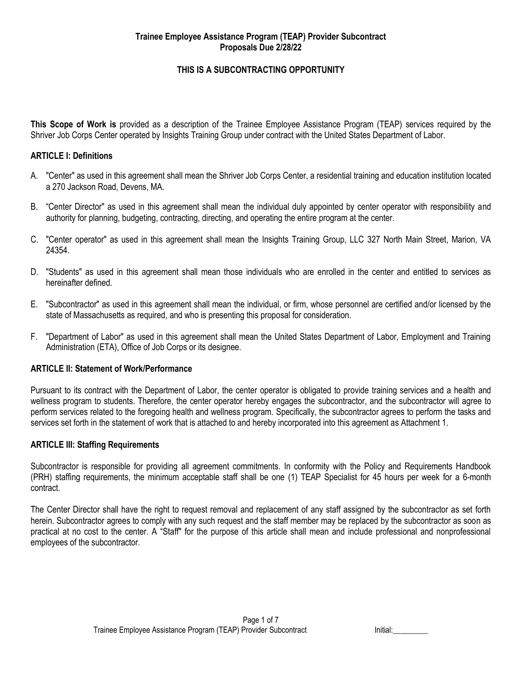## **THIS IS A SUBCONTRACTING OPPORTUNITY**

**This Scope of Work is** provided as a description of the Trainee Employee Assistance Program (TEAP) services required by the Shriver Job Corps Center operated by Insights Training Group under contract with the United States Department of Labor.

#### **ARTICLE I: Definitions**

- A. "Center" as used in this agreement shall mean the Shriver Job Corps Center, a residential training and education institution located a 270 Jackson Road, Devens, MA.
- B. "Center Director" as used in this agreement shall mean the individual duly appointed by center operator with responsibility and authority for planning, budgeting, contracting, directing, and operating the entire program at the center.
- C. "Center operator" as used in this agreement shall mean the Insights Training Group, LLC 327 North Main Street, Marion, VA 24354.
- D. "Students" as used in this agreement shall mean those individuals who are enrolled in the center and entitled to services as hereinafter defined.
- E. "Subcontractor" as used in this agreement shall mean the individual, or firm, whose personnel are certified and/or licensed by the state of Massachusetts as required, and who is presenting this proposal for consideration.
- F. "Department of Labor" as used in this agreement shall mean the United States Department of Labor, Employment and Training Administration (ETA), Office of Job Corps or its designee.

#### **ARTICLE II: Statement of Work/Performance**

Pursuant to its contract with the Department of Labor, the center operator is obligated to provide training services and a health and wellness program to students. Therefore, the center operator hereby engages the subcontractor, and the subcontractor will agree to perform services related to the foregoing health and wellness program. Specifically, the subcontractor agrees to perform the tasks and services set forth in the statement of work that is attached to and hereby incorporated into this agreement as Attachment 1.

#### **ARTICLE III: Staffing Requirements**

Subcontractor is responsible for providing all agreement commitments. In conformity with the Policy and Requirements Handbook (PRH) staffing requirements, the minimum acceptable staff shall be one (1) TEAP Specialist for 45 hours per week for a 6-month contract.

The Center Director shall have the right to request removal and replacement of any staff assigned by the subcontractor as set forth herein. Subcontractor agrees to comply with any such request and the staff member may be replaced by the subcontractor as soon as practical at no cost to the center. A "Staff" for the purpose of this article shall mean and include professional and nonprofessional employees of the subcontractor.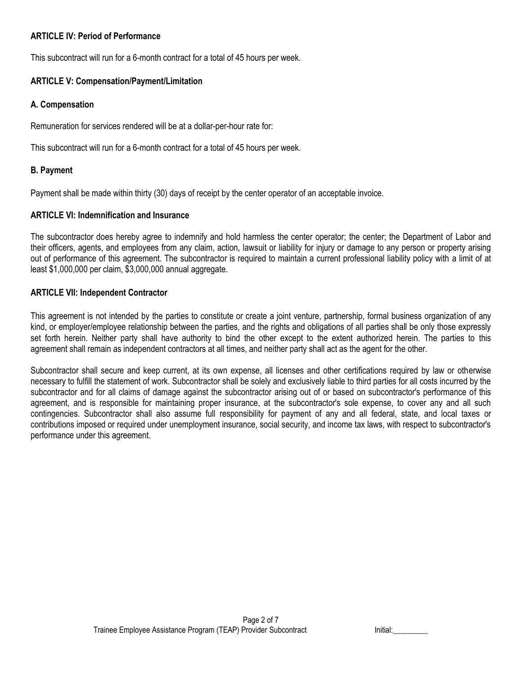### **ARTICLE IV: Period of Performance**

This subcontract will run for a 6-month contract for a total of 45 hours per week.

# **ARTICLE V: Compensation/Payment/Limitation**

### **A. Compensation**

Remuneration for services rendered will be at a dollar-per-hour rate for:

This subcontract will run for a 6-month contract for a total of 45 hours per week.

## **B. Payment**

Payment shall be made within thirty (30) days of receipt by the center operator of an acceptable invoice.

## **ARTICLE VI: Indemnification and Insurance**

The subcontractor does hereby agree to indemnify and hold harmless the center operator; the center; the Department of Labor and their officers, agents, and employees from any claim, action, lawsuit or liability for injury or damage to any person or property arising out of performance of this agreement. The subcontractor is required to maintain a current professional liability policy with a limit of at least \$1,000,000 per claim, \$3,000,000 annual aggregate.

## **ARTICLE VII: Independent Contractor**

This agreement is not intended by the parties to constitute or create a joint venture, partnership, formal business organization of any kind, or employer/employee relationship between the parties, and the rights and obligations of all parties shall be only those expressly set forth herein. Neither party shall have authority to bind the other except to the extent authorized herein. The parties to this agreement shall remain as independent contractors at all times, and neither party shall act as the agent for the other.

Subcontractor shall secure and keep current, at its own expense, all licenses and other certifications required by law or otherwise necessary to fulfill the statement of work. Subcontractor shall be solely and exclusively liable to third parties for all costs incurred by the subcontractor and for all claims of damage against the subcontractor arising out of or based on subcontractor's performance of this agreement, and is responsible for maintaining proper insurance, at the subcontractor's sole expense, to cover any and all such contingencies. Subcontractor shall also assume full responsibility for payment of any and all federal, state, and local taxes or contributions imposed or required under unemployment insurance, social security, and income tax laws, with respect to subcontractor's performance under this agreement.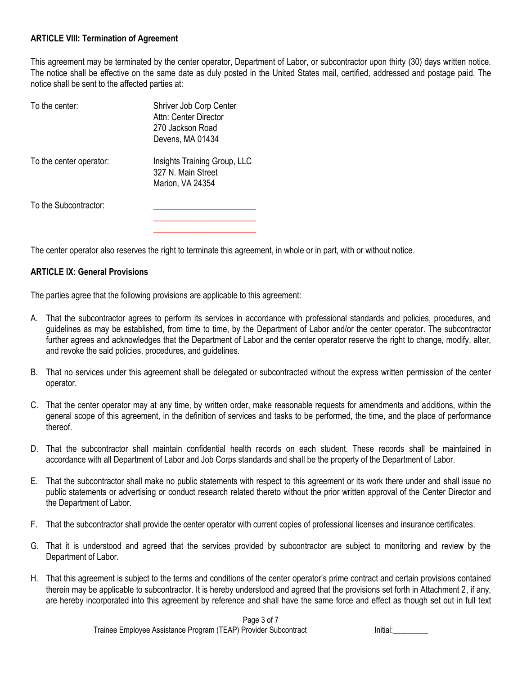### **ARTICLE VIII: Termination of Agreement**

This agreement may be terminated by the center operator, Department of Labor, or subcontractor upon thirty (30) days written notice. The notice shall be effective on the same date as duly posted in the United States mail, certified, addressed and postage paid. The notice shall be sent to the affected parties at:

| To the center:          | Shriver Job Corp Center<br>Attn: Center Director<br>270 Jackson Road<br>Devens, MA 01434 |
|-------------------------|------------------------------------------------------------------------------------------|
| To the center operator: | Insights Training Group, LLC<br>327 N. Main Street<br>Marion, VA 24354                   |
| To the Subcontractor:   |                                                                                          |

The center operator also reserves the right to terminate this agreement, in whole or in part, with or without notice.

#### **ARTICLE IX: General Provisions**

The parties agree that the following provisions are applicable to this agreement:

- A. That the subcontractor agrees to perform its services in accordance with professional standards and policies, procedures, and guidelines as may be established, from time to time, by the Department of Labor and/or the center operator. The subcontractor further agrees and acknowledges that the Department of Labor and the center operator reserve the right to change, modify, alter, and revoke the said policies, procedures, and guidelines.
- B. That no services under this agreement shall be delegated or subcontracted without the express written permission of the center operator.
- C. That the center operator may at any time, by written order, make reasonable requests for amendments and additions, within the general scope of this agreement, in the definition of services and tasks to be performed, the time, and the place of performance thereof.
- D. That the subcontractor shall maintain confidential health records on each student. These records shall be maintained in accordance with all Department of Labor and Job Corps standards and shall be the property of the Department of Labor.
- E. That the subcontractor shall make no public statements with respect to this agreement or its work there under and shall issue no public statements or advertising or conduct research related thereto without the prior written approval of the Center Director and the Department of Labor.
- F. That the subcontractor shall provide the center operator with current copies of professional licenses and insurance certificates.
- G. That it is understood and agreed that the services provided by subcontractor are subject to monitoring and review by the Department of Labor.
- H. That this agreement is subject to the terms and conditions of the center operator's prime contract and certain provisions contained therein may be applicable to subcontractor. It is hereby understood and agreed that the provisions set forth in Attachment 2, if any, are hereby incorporated into this agreement by reference and shall have the same force and effect as though set out in full text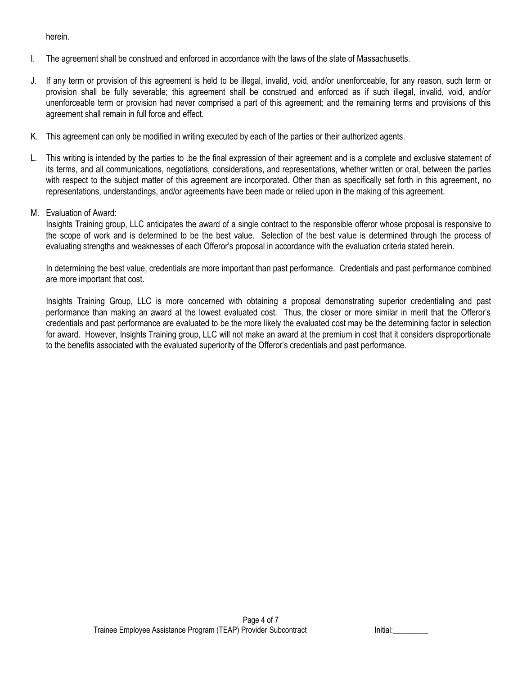herein.

- I. The agreement shall be construed and enforced in accordance with the laws of the state of Massachusetts.
- J. If any term or provision of this agreement is held to be illegal, invalid, void, and/or unenforceable, for any reason, such term or provision shall be fully severable; this agreement shall be construed and enforced as if such illegal, invalid, void, and/or unenforceable term or provision had never comprised a part of this agreement; and the remaining terms and provisions of this agreement shall remain in full force and effect.
- K. This agreement can only be modified in writing executed by each of the parties or their authorized agents.
- L. This writing is intended by the parties to .be the final expression of their agreement and is a complete and exclusive statement of its terms, and all communications, negotiations, considerations, and representations, whether written or oral, between the parties with respect to the subject matter of this agreement are incorporated. Other than as specifically set forth in this agreement, no representations, understandings, and/or agreements have been made or relied upon in the making of this agreement.
- M. Evaluation of Award:

Insights Training group, LLC anticipates the award of a single contract to the responsible offeror whose proposal is responsive to the scope of work and is determined to be the best value. Selection of the best value is determined through the process of evaluating strengths and weaknesses of each Offeror's proposal in accordance with the evaluation criteria stated herein.

In determining the best value, credentials are more important than past performance. Credentials and past performance combined are more important that cost.

Insights Training Group, LLC is more concerned with obtaining a proposal demonstrating superior credentialing and past performance than making an award at the lowest evaluated cost. Thus, the closer or more similar in merit that the Offeror's credentials and past performance are evaluated to be the more likely the evaluated cost may be the determining factor in selection for award. However, Insights Training group, LLC will not make an award at the premium in cost that it considers disproportionate to the benefits associated with the evaluated superiority of the Offeror's credentials and past performance.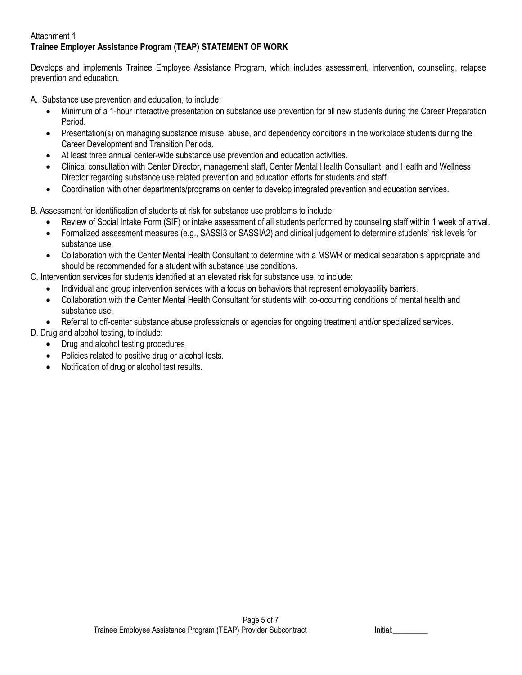## Attachment 1 **Trainee Employer Assistance Program (TEAP) STATEMENT OF WORK**

Develops and implements Trainee Employee Assistance Program, which includes assessment, intervention, counseling, relapse prevention and education.

A. Substance use prevention and education, to include:

- Minimum of a 1-hour interactive presentation on substance use prevention for all new students during the Career Preparation Period.
- Presentation(s) on managing substance misuse, abuse, and dependency conditions in the workplace students during the Career Development and Transition Periods.
- At least three annual center-wide substance use prevention and education activities.
- Clinical consultation with Center Director, management staff, Center Mental Health Consultant, and Health and Wellness Director regarding substance use related prevention and education efforts for students and staff.
- Coordination with other departments/programs on center to develop integrated prevention and education services.

B. Assessment for identification of students at risk for substance use problems to include:

- Review of Social Intake Form (SIF) or intake assessment of all students performed by counseling staff within 1 week of arrival.
- Formalized assessment measures (e.g., SASSI3 or SASSIA2) and clinical judgement to determine students' risk levels for substance use.
- Collaboration with the Center Mental Health Consultant to determine with a MSWR or medical separation s appropriate and should be recommended for a student with substance use conditions.
- C. Intervention services for students identified at an elevated risk for substance use, to include:
	- Individual and group intervention services with a focus on behaviors that represent employability barriers.
	- Collaboration with the Center Mental Health Consultant for students with co-occurring conditions of mental health and substance use.
	- Referral to off-center substance abuse professionals or agencies for ongoing treatment and/or specialized services.
- D. Drug and alcohol testing, to include:
	- Drug and alcohol testing procedures
	- Policies related to positive drug or alcohol tests.
	- Notification of drug or alcohol test results.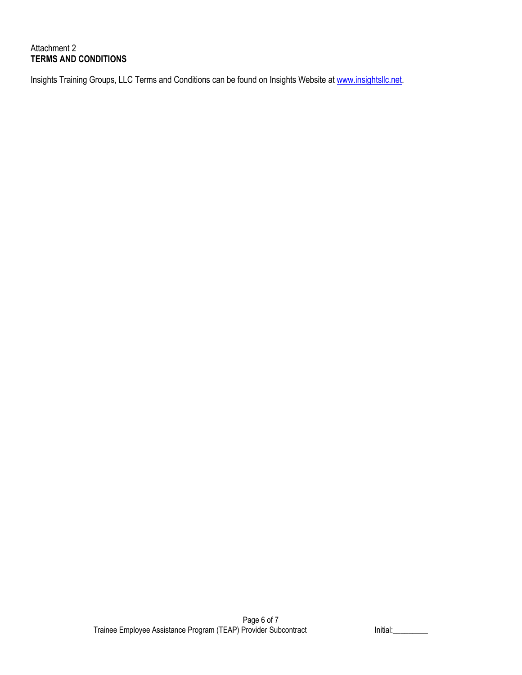# Attachment 2 **TERMS AND CONDITIONS**

Insights Training Groups, LLC Terms and Conditions can be found on Insights Website at [www.insightsllc.net.](http://www.insightsllc.net/)